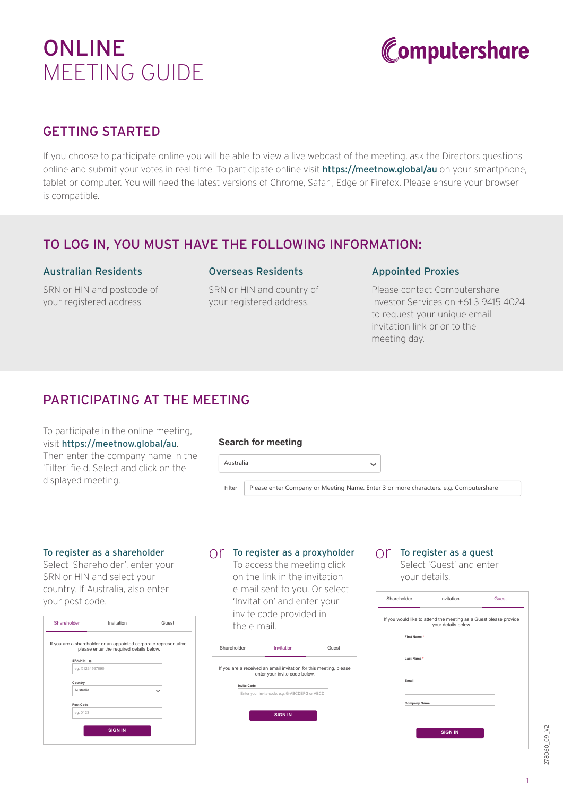# ONLINE MEETING GUIDE



# GETTING STARTED

If you choose to participate online you will be able to view a live webcast of the meeting, ask the Directors questions online and submit your votes in real time. To participate online visit **https://meetnow.global/au** on your smartphone, tablet or computer. You will need the latest versions of Chrome, Safari, Edge or Firefox. Please ensure your browser is compatible.

### TO LOG IN, YOU MUST HAVE THE FOLLOWING INFORMATION:

#### Australian Residents

SRN or HIN and postcode of your registered address.

#### Overseas Residents

SRN or HIN and country of your registered address.

#### Appointed Proxies

Please contact Computershare Investor Services on +61 3 9415 4024 to request your unique email invitation link prior to the meeting day.

# PARTICIPATING AT THE MEETING

To participate in the online meeting, visit https://meetnow.global/au. Then enter the company name in the 'Filter' field. Select and click on the displayed meeting.

|                                                                                                | Search for meeting |  |
|------------------------------------------------------------------------------------------------|--------------------|--|
| Australia                                                                                      | $\checkmark$       |  |
| Please enter Company or Meeting Name. Enter 3 or more characters. e.g. Computershare<br>Filter |                    |  |

#### To register as a shareholder

Select 'Shareholder', enter your SRN or HIN and select your country. If Australia, also enter your post code.

| Shareholder                                                                                                    | Invitation     | Guest        |  |  |  |  |
|----------------------------------------------------------------------------------------------------------------|----------------|--------------|--|--|--|--|
| If you are a shareholder or an appointed corporate representative,<br>please enter the required details below. |                |              |  |  |  |  |
| SRN/HIN ®<br>eg. X1234567890                                                                                   |                |              |  |  |  |  |
|                                                                                                                |                |              |  |  |  |  |
| Country                                                                                                        |                |              |  |  |  |  |
| Australia                                                                                                      |                | $\checkmark$ |  |  |  |  |
| Post Code                                                                                                      |                |              |  |  |  |  |
| eg. 0123                                                                                                       |                |              |  |  |  |  |
|                                                                                                                | <b>SIGN IN</b> |              |  |  |  |  |

# $\bigcirc$  To register as a proxyholder  $\bigcirc$  To register as a guest

To access the meeting click on the link in the invitation e-mail sent to you. Or select 'Invitation' and enter your invite code provided in the e-mail.



Select 'Guest' and enter your details.

| Shareholder         | Invitation                                                                               | Guest |
|---------------------|------------------------------------------------------------------------------------------|-------|
|                     | If you would like to attend the meeting as a Guest please provide<br>your details below. |       |
| First Name *        |                                                                                          |       |
| Last Name*          |                                                                                          |       |
| Email               |                                                                                          |       |
| <b>Company Name</b> |                                                                                          |       |
|                     |                                                                                          |       |
|                     | <b>SIGN IN</b>                                                                           |       |

278060\_09\_V2 278060\_09\_V2